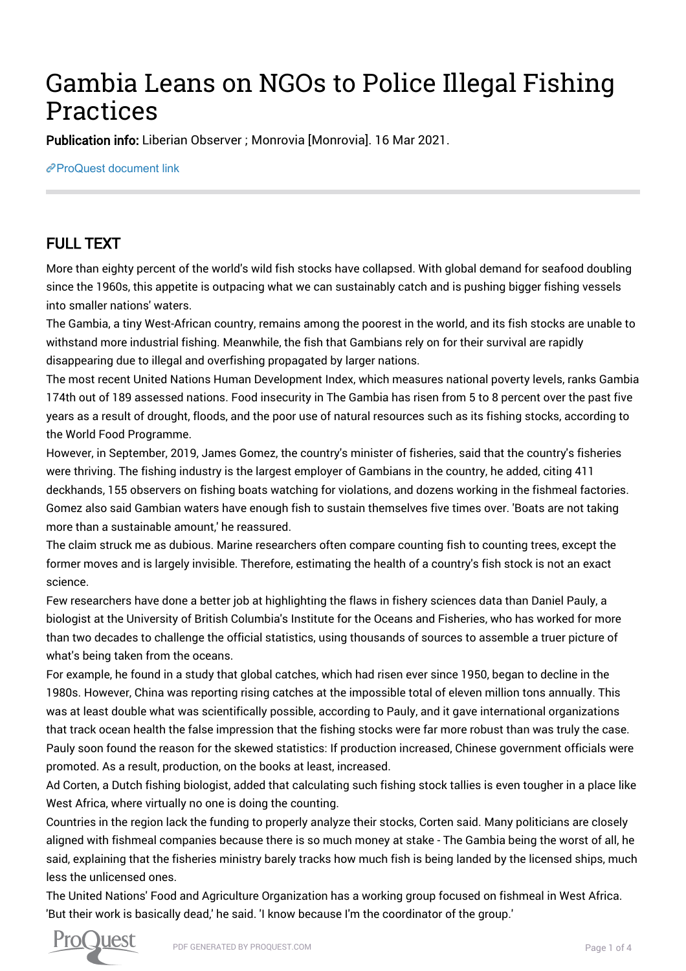## Gambia Leans on NGOs to Police Illegal Fishing Practices

Publication info: Liberian Observer ; Monrovia [Monrovia]. 16 Mar 2021.

[ProQuest document link](http://132.174.250.227/newspapers/gambia-leans-on-ngos-police-illegal-fishing/docview/2501449434/se-2?accountid=8394)

## FULL TEXT

More than eighty percent of the world's wild fish stocks have collapsed. With global demand for seafood doubling since the 1960s, this appetite is outpacing what we can sustainably catch and is pushing bigger fishing vessels into smaller nations' waters.

The Gambia, a tiny West-African country, remains among the poorest in the world, and its fish stocks are unable to withstand more industrial fishing. Meanwhile, the fish that Gambians rely on for their survival are rapidly disappearing due to illegal and overfishing propagated by larger nations.

The most recent United Nations Human Development Index, which measures national poverty levels, ranks Gambia 174th out of 189 assessed nations. Food insecurity in The Gambia has risen from 5 to 8 percent over the past five years as a result of drought, floods, and the poor use of natural resources such as its fishing stocks, according to the World Food Programme.

However, in September, 2019, James Gomez, the country's minister of fisheries, said that the country's fisheries were thriving. The fishing industry is the largest employer of Gambians in the country, he added, citing 411 deckhands, 155 observers on fishing boats watching for violations, and dozens working in the fishmeal factories. Gomez also said Gambian waters have enough fish to sustain themselves five times over. 'Boats are not taking more than a sustainable amount,' he reassured.

The claim struck me as dubious. Marine researchers often compare counting fish to counting trees, except the former moves and is largely invisible. Therefore, estimating the health of a country's fish stock is not an exact science.

Few researchers have done a better job at highlighting the flaws in fishery sciences data than Daniel Pauly, a biologist at the University of British Columbia's Institute for the Oceans and Fisheries, who has worked for more than two decades to challenge the official statistics, using thousands of sources to assemble a truer picture of what's being taken from the oceans.

For example, he found in a study that global catches, which had risen ever since 1950, began to decline in the 1980s. However, China was reporting rising catches at the impossible total of eleven million tons annually. This was at least double what was scientifically possible, according to Pauly, and it gave international organizations that track ocean health the false impression that the fishing stocks were far more robust than was truly the case. Pauly soon found the reason for the skewed statistics: If production increased, Chinese government officials were promoted. As a result, production, on the books at least, increased.

Ad Corten, a Dutch fishing biologist, added that calculating such fishing stock tallies is even tougher in a place like West Africa, where virtually no one is doing the counting.

Countries in the region lack the funding to properly analyze their stocks, Corten said. Many politicians are closely aligned with fishmeal companies because there is so much money at stake - The Gambia being the worst of all, he said, explaining that the fisheries ministry barely tracks how much fish is being landed by the licensed ships, much less the unlicensed ones.

The United Nations' Food and Agriculture Organization has a working group focused on fishmeal in West Africa. 'But their work is basically dead,' he said. 'I know because I'm the coordinator of the group.'

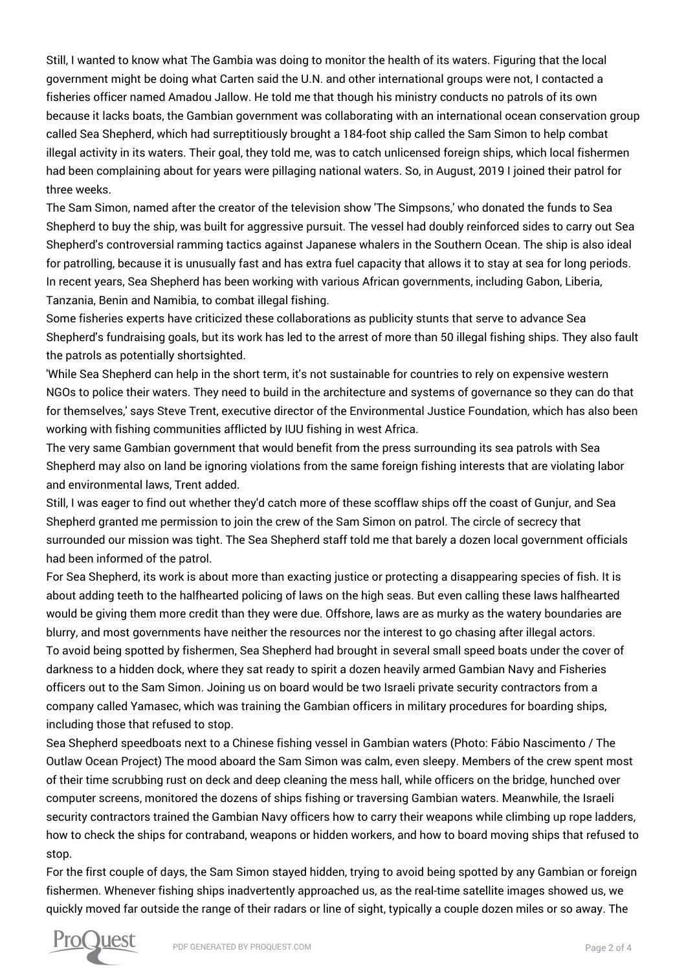Still, I wanted to know what The Gambia was doing to monitor the health of its waters. Figuring that the local government might be doing what Carten said the U.N. and other international groups were not, I contacted a fisheries officer named Amadou Jallow. He told me that though his ministry conducts no patrols of its own because it lacks boats, the Gambian government was collaborating with an international ocean conservation group called Sea Shepherd, which had surreptitiously brought a 184-foot ship called the Sam Simon to help combat illegal activity in its waters. Their goal, they told me, was to catch unlicensed foreign ships, which local fishermen had been complaining about for years were pillaging national waters. So, in August, 2019 I joined their patrol for three weeks.

The Sam Simon, named after the creator of the television show 'The Simpsons,' who donated the funds to Sea Shepherd to buy the ship, was built for aggressive pursuit. The vessel had doubly reinforced sides to carry out Sea Shepherd's controversial ramming tactics against Japanese whalers in the Southern Ocean. The ship is also ideal for patrolling, because it is unusually fast and has extra fuel capacity that allows it to stay at sea for long periods. In recent years, Sea Shepherd has been working with various African governments, including Gabon, Liberia, Tanzania, Benin and Namibia, to combat illegal fishing.

Some fisheries experts have criticized these collaborations as publicity stunts that serve to advance Sea Shepherd's fundraising goals, but its work has led to the arrest of more than 50 illegal fishing ships. They also fault the patrols as potentially shortsighted.

'While Sea Shepherd can help in the short term, it's not sustainable for countries to rely on expensive western NGOs to police their waters. They need to build in the architecture and systems of governance so they can do that for themselves,' says Steve Trent, executive director of the Environmental Justice Foundation, which has also been working with fishing communities afflicted by IUU fishing in west Africa.

The very same Gambian government that would benefit from the press surrounding its sea patrols with Sea Shepherd may also on land be ignoring violations from the same foreign fishing interests that are violating labor and environmental laws, Trent added.

Still, I was eager to find out whether they'd catch more of these scofflaw ships off the coast of Gunjur, and Sea Shepherd granted me permission to join the crew of the Sam Simon on patrol. The circle of secrecy that surrounded our mission was tight. The Sea Shepherd staff told me that barely a dozen local government officials had been informed of the patrol.

For Sea Shepherd, its work is about more than exacting justice or protecting a disappearing species of fish. It is about adding teeth to the halfhearted policing of laws on the high seas. But even calling these laws halfhearted would be giving them more credit than they were due. Offshore, laws are as murky as the watery boundaries are blurry, and most governments have neither the resources nor the interest to go chasing after illegal actors. To avoid being spotted by fishermen, Sea Shepherd had brought in several small speed boats under the cover of darkness to a hidden dock, where they sat ready to spirit a dozen heavily armed Gambian Navy and Fisheries officers out to the Sam Simon. Joining us on board would be two Israeli private security contractors from a company called Yamasec, which was training the Gambian officers in military procedures for boarding ships, including those that refused to stop.

Sea Shepherd speedboats next to a Chinese fishing vessel in Gambian waters (Photo: Fábio Nascimento / The Outlaw Ocean Project) The mood aboard the Sam Simon was calm, even sleepy. Members of the crew spent most of their time scrubbing rust on deck and deep cleaning the mess hall, while officers on the bridge, hunched over computer screens, monitored the dozens of ships fishing or traversing Gambian waters. Meanwhile, the Israeli security contractors trained the Gambian Navy officers how to carry their weapons while climbing up rope ladders, how to check the ships for contraband, weapons or hidden workers, and how to board moving ships that refused to stop.

For the first couple of days, the Sam Simon stayed hidden, trying to avoid being spotted by any Gambian or foreign fishermen. Whenever fishing ships inadvertently approached us, as the real-time satellite images showed us, we quickly moved far outside the range of their radars or line of sight, typically a couple dozen miles or so away. The

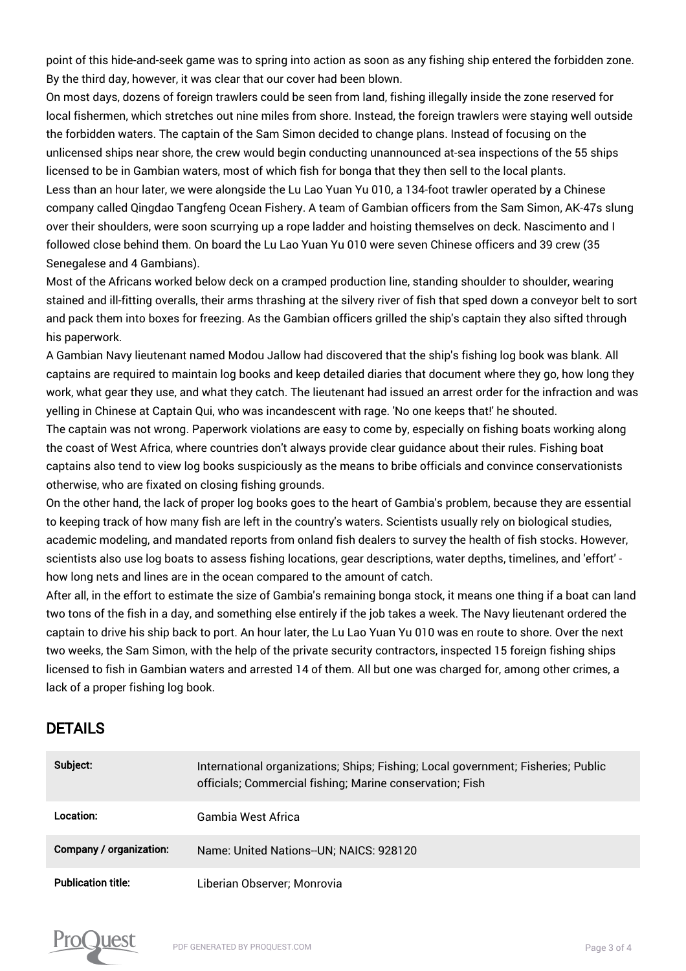point of this hide-and-seek game was to spring into action as soon as any fishing ship entered the forbidden zone. By the third day, however, it was clear that our cover had been blown.

On most days, dozens of foreign trawlers could be seen from land, fishing illegally inside the zone reserved for local fishermen, which stretches out nine miles from shore. Instead, the foreign trawlers were staying well outside the forbidden waters. The captain of the Sam Simon decided to change plans. Instead of focusing on the unlicensed ships near shore, the crew would begin conducting unannounced at-sea inspections of the 55 ships licensed to be in Gambian waters, most of which fish for bonga that they then sell to the local plants. Less than an hour later, we were alongside the Lu Lao Yuan Yu 010, a 134-foot trawler operated by a Chinese company called Qingdao Tangfeng Ocean Fishery. A team of Gambian officers from the Sam Simon, AK-47s slung over their shoulders, were soon scurrying up a rope ladder and hoisting themselves on deck. Nascimento and I followed close behind them. On board the Lu Lao Yuan Yu 010 were seven Chinese officers and 39 crew (35 Senegalese and 4 Gambians).

Most of the Africans worked below deck on a cramped production line, standing shoulder to shoulder, wearing stained and ill-fitting overalls, their arms thrashing at the silvery river of fish that sped down a conveyor belt to sort and pack them into boxes for freezing. As the Gambian officers grilled the ship's captain they also sifted through his paperwork.

A Gambian Navy lieutenant named Modou Jallow had discovered that the ship's fishing log book was blank. All captains are required to maintain log books and keep detailed diaries that document where they go, how long they work, what gear they use, and what they catch. The lieutenant had issued an arrest order for the infraction and was yelling in Chinese at Captain Qui, who was incandescent with rage. 'No one keeps that!' he shouted.

The captain was not wrong. Paperwork violations are easy to come by, especially on fishing boats working along the coast of West Africa, where countries don't always provide clear guidance about their rules. Fishing boat captains also tend to view log books suspiciously as the means to bribe officials and convince conservationists otherwise, who are fixated on closing fishing grounds.

On the other hand, the lack of proper log books goes to the heart of Gambia's problem, because they are essential to keeping track of how many fish are left in the country's waters. Scientists usually rely on biological studies, academic modeling, and mandated reports from onland fish dealers to survey the health of fish stocks. However, scientists also use log boats to assess fishing locations, gear descriptions, water depths, timelines, and 'effort' how long nets and lines are in the ocean compared to the amount of catch.

After all, in the effort to estimate the size of Gambia's remaining bonga stock, it means one thing if a boat can land two tons of the fish in a day, and something else entirely if the job takes a week. The Navy lieutenant ordered the captain to drive his ship back to port. An hour later, the Lu Lao Yuan Yu 010 was en route to shore. Over the next two weeks, the Sam Simon, with the help of the private security contractors, inspected 15 foreign fishing ships licensed to fish in Gambian waters and arrested 14 of them. All but one was charged for, among other crimes, a lack of a proper fishing log book.

## DETAILS

| Subject:                  | International organizations; Ships; Fishing; Local government; Fisheries; Public<br>officials; Commercial fishing; Marine conservation; Fish |
|---------------------------|----------------------------------------------------------------------------------------------------------------------------------------------|
| Location:                 | Gambia West Africa                                                                                                                           |
| Company / organization:   | Name: United Nations--UN; NAICS: 928120                                                                                                      |
| <b>Publication title:</b> | Liberian Observer; Monrovia                                                                                                                  |